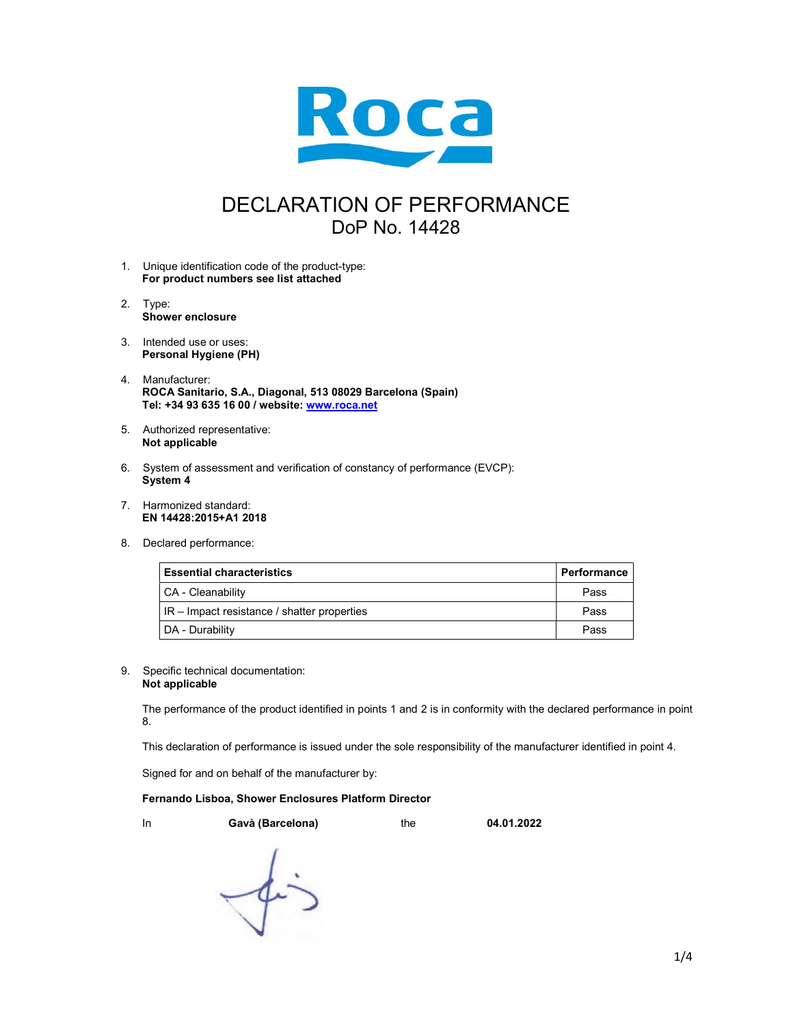

## DECLARATION OF PERFORMANCE DoP No. 14428

- 1. Unique identification code of the product-type: For product numbers see list attached
- 2. Type: Shower enclosure
- 3. Intended use or uses: Personal Hygiene (PH)
- 4. Manufacturer: ROCA Sanitario, S.A., Diagonal, 513 08029 Barcelona (Spain) Tel: +34 93 635 16 00 / website: www.roca.net
- 5. Authorized representative: Not applicable
- 6. System of assessment and verification of constancy of performance (EVCP): System 4
- 7. Harmonized standard: EN 14428:2015+A1 2018
- 8. Declared performance:

| <b>Essential characteristics</b>            | Performance |
|---------------------------------------------|-------------|
| CA - Cleanability                           | Pass        |
| IR - Impact resistance / shatter properties | Pass        |
| DA - Durability                             | Pass        |

## 9. Specific technical documentation: Not applicable

The performance of the product identified in points 1 and 2 is in conformity with the declared performance in point 8.

This declaration of performance is issued under the sole responsibility of the manufacturer identified in point 4.

Signed for and on behalf of the manufacturer by:

## Fernando Lisboa, Shower Enclosures Platform Director

In Gavà (Barcelona) the 04.01.2022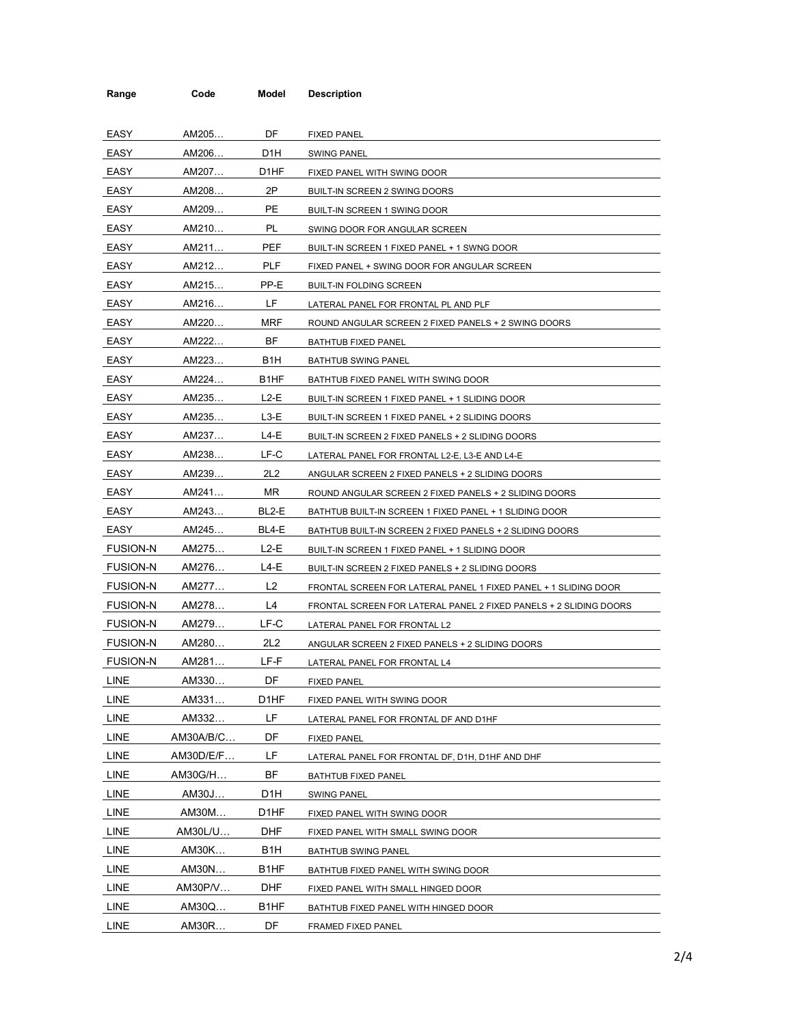| Range           | Code      | Model             | <b>Description</b>                                                |
|-----------------|-----------|-------------------|-------------------------------------------------------------------|
|                 |           |                   |                                                                   |
| EASY            | AM205     | DF.               | <b>FIXED PANEL</b>                                                |
| EASY            | AM206     | D1H               | <b>SWING PANEL</b>                                                |
| EASY            | AM207     | D <sub>1</sub> HF | FIXED PANEL WITH SWING DOOR                                       |
| EASY            | AM208     | 2P                | BUILT-IN SCREEN 2 SWING DOORS                                     |
| EASY            | AM209     | <b>PE</b>         | BUILT-IN SCREEN 1 SWING DOOR                                      |
| EASY            | AM210     | PL                | SWING DOOR FOR ANGULAR SCREEN                                     |
| EASY            | AM211     | PEF               | BUILT-IN SCREEN 1 FIXED PANEL + 1 SWNG DOOR                       |
| EASY            | AM212     | <b>PLF</b>        | FIXED PANEL + SWING DOOR FOR ANGULAR SCREEN                       |
| EASY            | AM215     | PP-E              | <b>BUILT-IN FOLDING SCREEN</b>                                    |
| EASY            | AM216     | LF.               | LATERAL PANEL FOR FRONTAL PL AND PLF                              |
| EASY            | AM220     | <b>MRF</b>        | ROUND ANGULAR SCREEN 2 FIXED PANELS + 2 SWING DOORS               |
| EASY            | AM222     | BF                | BATHTUB FIXED PANEL                                               |
| EASY            | AM223     | B <sub>1</sub> H  | <b>BATHTUB SWING PANEL</b>                                        |
| EASY            | AM224     | B1HF              | BATHTUB FIXED PANEL WITH SWING DOOR                               |
| EASY            | AM235     | $L2-E$            | BUILT-IN SCREEN 1 FIXED PANEL + 1 SLIDING DOOR                    |
| EASY            | AM235     | $L3-E$            | BUILT-IN SCREEN 1 FIXED PANEL + 2 SLIDING DOORS                   |
| EASY            | AM237     | L4-E              | BUILT-IN SCREEN 2 FIXED PANELS + 2 SLIDING DOORS                  |
| EASY            | AM238     | LF-C              | LATERAL PANEL FOR FRONTAL L2-E, L3-E AND L4-E                     |
| EASY            | AM239     | 2L2               | ANGULAR SCREEN 2 FIXED PANELS + 2 SLIDING DOORS                   |
| EASY            | AM241     | MR.               | ROUND ANGULAR SCREEN 2 FIXED PANELS + 2 SLIDING DOORS             |
| EASY            | AM243     | BL2-E             | BATHTUB BUILT-IN SCREEN 1 FIXED PANEL + 1 SLIDING DOOR            |
| EASY            | AM245     | BL4-E             | BATHTUB BUILT-IN SCREEN 2 FIXED PANELS + 2 SLIDING DOORS          |
| <b>FUSION-N</b> | AM275     | L2-E              | BUILT-IN SCREEN 1 FIXED PANEL + 1 SLIDING DOOR                    |
| <b>FUSION-N</b> | AM276     | L4-E              | BUILT-IN SCREEN 2 FIXED PANELS + 2 SLIDING DOORS                  |
| <b>FUSION-N</b> | AM277     | L <sub>2</sub>    | FRONTAL SCREEN FOR LATERAL PANEL 1 FIXED PANEL + 1 SLIDING DOOR   |
| <b>FUSION-N</b> | AM278     | L4                | FRONTAL SCREEN FOR LATERAL PANEL 2 FIXED PANELS + 2 SLIDING DOORS |
| <b>FUSION-N</b> | AM279     | LF-C              | LATERAL PANEL FOR FRONTAL L2                                      |
| <b>FUSION-N</b> | AM280     | 2L2               | ANGULAR SCREEN 2 FIXED PANELS + 2 SLIDING DOORS                   |
| <b>FUSION-N</b> | AM281     | LF-F              | LATERAL PANEL FOR FRONTAL L4                                      |
| LINE            | AM330     | DF                | <b>FIXED PANEL</b>                                                |
| LINE            | AM331     | D1HF              | FIXED PANEL WITH SWING DOOR                                       |
| LINE            | AM332     | LF                | LATERAL PANEL FOR FRONTAL DF AND D1HF                             |
| LINE            | AM30A/B/C | DF                | <b>FIXED PANEL</b>                                                |
| LINE            | AM30D/E/F | LF                | LATERAL PANEL FOR FRONTAL DF, D1H, D1HF AND DHF                   |
| LINE            | AM30G/H   | BF                | BATHTUB FIXED PANEL                                               |
| LINE            | AM30J     | D1H               | <b>SWING PANEL</b>                                                |
| LINE            | AM30M     | D1HF              | FIXED PANEL WITH SWING DOOR                                       |
| LINE            | AM30L/U   | DHF               | FIXED PANEL WITH SMALL SWING DOOR                                 |
| <b>LINE</b>     | AM30K     | B <sub>1</sub> H  | <b>BATHTUB SWING PANEL</b>                                        |
| LINE            | AM30N     | B <sub>1</sub> HF | BATHTUB FIXED PANEL WITH SWING DOOR                               |
| LINE            | AM30P/V   | DHF               | FIXED PANEL WITH SMALL HINGED DOOR                                |
| <b>LINE</b>     | AM30Q     | B <sub>1</sub> HF | BATHTUB FIXED PANEL WITH HINGED DOOR                              |
| LINE            | AM30R     | DF                | FRAMED FIXED PANEL                                                |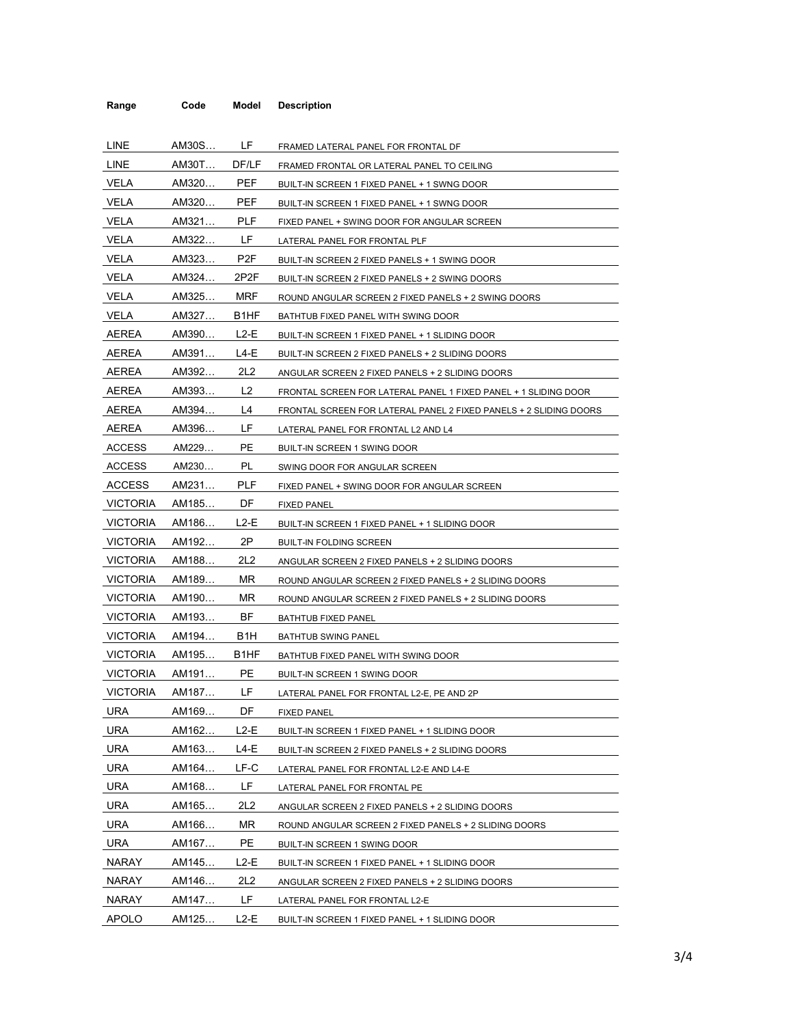| Range           | Code  | Model             | <b>Description</b>                                                |
|-----------------|-------|-------------------|-------------------------------------------------------------------|
|                 |       |                   |                                                                   |
| LINE            | AM30S | LF.               | FRAMED LATERAL PANEL FOR FRONTAL DF                               |
| LINE            | AM30T | DF/LF             | FRAMED FRONTAL OR LATERAL PANEL TO CEILING                        |
| VELA            | AM320 | <b>PEF</b>        | BUILT-IN SCREEN 1 FIXED PANEL + 1 SWNG DOOR                       |
| <b>VELA</b>     | AM320 | <b>PEF</b>        | BUILT-IN SCREEN 1 FIXED PANEL + 1 SWNG DOOR                       |
| <b>VELA</b>     | AM321 | <b>PLF</b>        | FIXED PANEL + SWING DOOR FOR ANGULAR SCREEN                       |
| <b>VELA</b>     | AM322 | LF.               | LATERAL PANEL FOR FRONTAL PLF                                     |
| <b>VELA</b>     | AM323 | P <sub>2F</sub>   | BUILT-IN SCREEN 2 FIXED PANELS + 1 SWING DOOR                     |
| VELA            | AM324 | 2P2F              | BUILT-IN SCREEN 2 FIXED PANELS + 2 SWING DOORS                    |
| VELA            | AM325 | MRF               | ROUND ANGULAR SCREEN 2 FIXED PANELS + 2 SWING DOORS               |
| VELA            | AM327 | B <sub>1</sub> HF | BATHTUB FIXED PANEL WITH SWING DOOR                               |
| AEREA           | AM390 | $L2-E$            | BUILT-IN SCREEN 1 FIXED PANEL + 1 SLIDING DOOR                    |
| AEREA           | AM391 | $L4-E$            | BUILT-IN SCREEN 2 FIXED PANELS + 2 SLIDING DOORS                  |
| <b>AEREA</b>    | AM392 | 2L <sub>2</sub>   | ANGULAR SCREEN 2 FIXED PANELS + 2 SLIDING DOORS                   |
| <b>AEREA</b>    | AM393 | L <sub>2</sub>    | FRONTAL SCREEN FOR LATERAL PANEL 1 FIXED PANEL + 1 SLIDING DOOR   |
| AEREA           | AM394 | L4                | FRONTAL SCREEN FOR LATERAL PANEL 2 FIXED PANELS + 2 SLIDING DOORS |
| AEREA           | AM396 | LF.               | LATERAL PANEL FOR FRONTAL L2 AND L4                               |
| <b>ACCESS</b>   | AM229 | PE                | BUILT-IN SCREEN 1 SWING DOOR                                      |
| <b>ACCESS</b>   | AM230 | PL                | SWING DOOR FOR ANGULAR SCREEN                                     |
| <b>ACCESS</b>   | AM231 | <b>PLF</b>        | FIXED PANEL + SWING DOOR FOR ANGULAR SCREEN                       |
| <b>VICTORIA</b> | AM185 | DF                | <b>FIXED PANEL</b>                                                |
| <b>VICTORIA</b> | AM186 | $L2-E$            | BUILT-IN SCREEN 1 FIXED PANEL + 1 SLIDING DOOR                    |
| <b>VICTORIA</b> | AM192 | 2P                | <b>BUILT-IN FOLDING SCREEN</b>                                    |
| <b>VICTORIA</b> | AM188 | 2L2               | ANGULAR SCREEN 2 FIXED PANELS + 2 SLIDING DOORS                   |
| <b>VICTORIA</b> | AM189 | ΜR                | ROUND ANGULAR SCREEN 2 FIXED PANELS + 2 SLIDING DOORS             |
| <b>VICTORIA</b> | AM190 | MR                | ROUND ANGULAR SCREEN 2 FIXED PANELS + 2 SLIDING DOORS             |
| <b>VICTORIA</b> | AM193 | BF                | BATHTUB FIXED PANEL                                               |
| <b>VICTORIA</b> | AM194 | B <sub>1</sub> H  | BATHTUB SWING PANEL                                               |
| <b>VICTORIA</b> | AM195 | B <sub>1</sub> HF | BATHTUB FIXED PANEL WITH SWING DOOR                               |
| VICTORIA        | AM191 | <b>PE</b>         | BUILT-IN SCREEN 1 SWING DOOR                                      |
| <b>VICTORIA</b> | AM187 | LF                | LATERAL PANEL FOR FRONTAL L2-E, PE AND 2P                         |
| <b>URA</b>      | AM169 | DF                | <b>FIXED PANEL</b>                                                |
| <b>URA</b>      | AM162 | $L2-E$            | BUILT-IN SCREEN 1 FIXED PANEL + 1 SLIDING DOOR                    |
| <b>URA</b>      | AM163 | L4-E              | BUILT-IN SCREEN 2 FIXED PANELS + 2 SLIDING DOORS                  |
| <b>URA</b>      | AM164 | LF-C              | LATERAL PANEL FOR FRONTAL L2-E AND L4-E                           |
| <b>URA</b>      | AM168 | LF                | LATERAL PANEL FOR FRONTAL PE                                      |
| URA             | AM165 | 2L2               | ANGULAR SCREEN 2 FIXED PANELS + 2 SLIDING DOORS                   |
| <b>URA</b>      | AM166 | MR                | ROUND ANGULAR SCREEN 2 FIXED PANELS + 2 SLIDING DOORS             |
| <b>URA</b>      | AM167 | <b>PE</b>         | BUILT-IN SCREEN 1 SWING DOOR                                      |
| <b>NARAY</b>    | AM145 | $L2-E$            | BUILT-IN SCREEN 1 FIXED PANEL + 1 SLIDING DOOR                    |
| <b>NARAY</b>    | AM146 | 2L <sub>2</sub>   | ANGULAR SCREEN 2 FIXED PANELS + 2 SLIDING DOORS                   |
| <b>NARAY</b>    | AM147 | LF                | LATERAL PANEL FOR FRONTAL L2-E                                    |
| <b>APOLO</b>    | AM125 | L2-E              | BUILT-IN SCREEN 1 FIXED PANEL + 1 SLIDING DOOR                    |